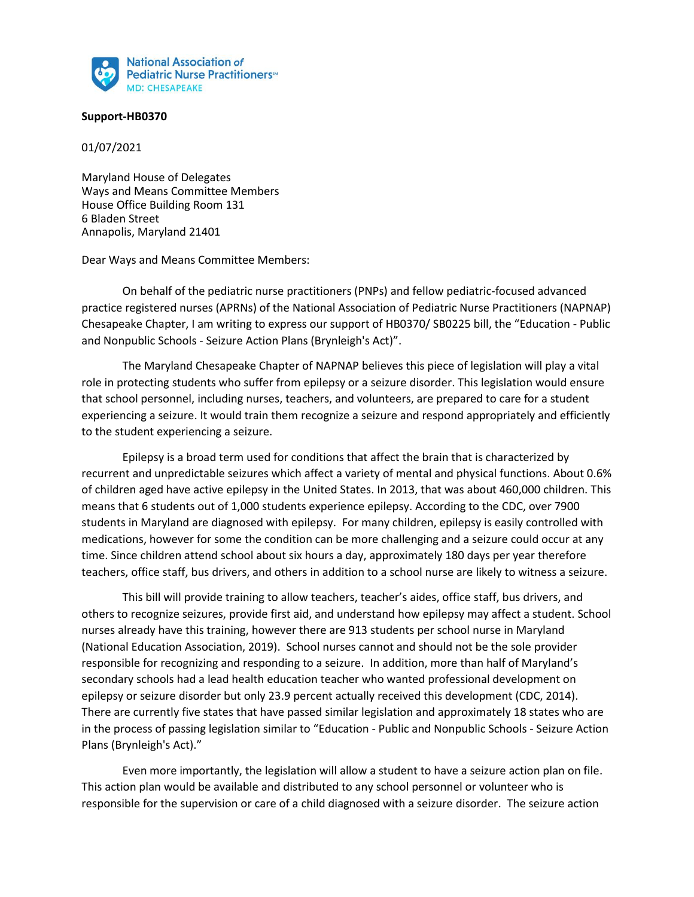

## **Support-HB0370**

01/07/2021

Maryland House of Delegates Ways and Means Committee Members House Office Building Room 131 6 Bladen Street Annapolis, Maryland 21401

Dear Ways and Means Committee Members:

On behalf of the pediatric nurse practitioners (PNPs) and fellow pediatric-focused advanced practice registered nurses (APRNs) of the National Association of Pediatric Nurse Practitioners (NAPNAP) Chesapeake Chapter, I am writing to express our support of HB0370/ SB0225 bill, the "Education - Public and Nonpublic Schools - Seizure Action Plans (Brynleigh's Act)".

The Maryland Chesapeake Chapter of NAPNAP believes this piece of legislation will play a vital role in protecting students who suffer from epilepsy or a seizure disorder. This legislation would ensure that school personnel, including nurses, teachers, and volunteers, are prepared to care for a student experiencing a seizure. It would train them recognize a seizure and respond appropriately and efficiently to the student experiencing a seizure.

Epilepsy is a broad term used for conditions that affect the brain that is characterized by recurrent and unpredictable seizures which affect a variety of mental and physical functions. About 0.6% of children aged have active epilepsy in the United States. In 2013, that was about 460,000 children. This means that 6 students out of 1,000 students experience epilepsy. According to the CDC, over 7900 students in Maryland are diagnosed with epilepsy. For many children, epilepsy is easily controlled with medications, however for some the condition can be more challenging and a seizure could occur at any time. Since children attend school about six hours a day, approximately 180 days per year therefore teachers, office staff, bus drivers, and others in addition to a school nurse are likely to witness a seizure.

This bill will provide training to allow teachers, teacher's aides, office staff, bus drivers, and others to recognize seizures, provide first aid, and understand how epilepsy may affect a student. School nurses already have this training, however there are 913 students per school nurse in Maryland (National Education Association, 2019). School nurses cannot and should not be the sole provider responsible for recognizing and responding to a seizure. In addition, more than half of Maryland's secondary schools had a lead health education teacher who wanted professional development on epilepsy or seizure disorder but only 23.9 percent actually received this development (CDC, 2014). There are currently five states that have passed similar legislation and approximately 18 states who are in the process of passing legislation similar to "Education - Public and Nonpublic Schools - Seizure Action Plans (Brynleigh's Act)."

Even more importantly, the legislation will allow a student to have a seizure action plan on file. This action plan would be available and distributed to any school personnel or volunteer who is responsible for the supervision or care of a child diagnosed with a seizure disorder. The seizure action